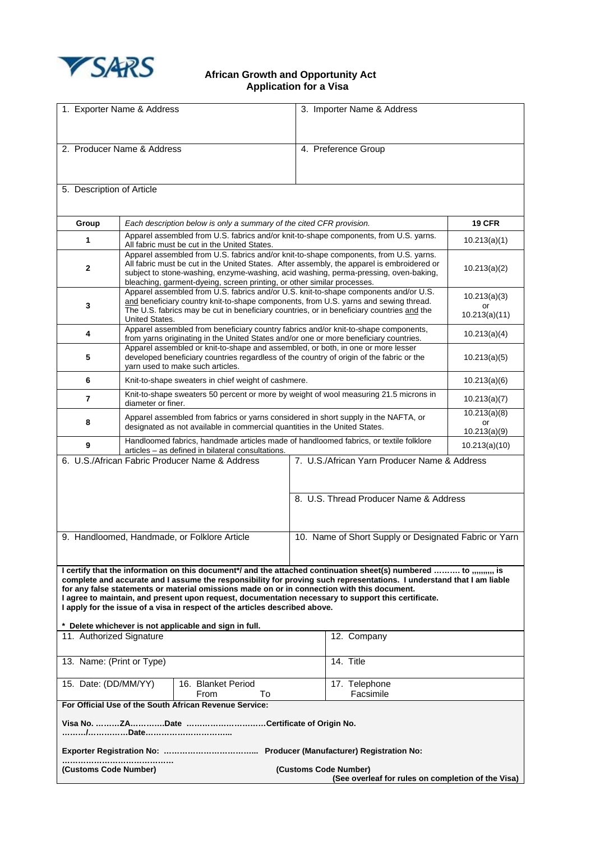

## **African Growth and Opportunity Act Application for a Visa**

| 1. Exporter Name & Address                                                                                                                                                                                                                                                                                                                                                                                                                                                                                                                                                                  |                                                                                                                                                                                                                                                                                                                                                        | 3. Importer Name & Address             |                                     |  |
|---------------------------------------------------------------------------------------------------------------------------------------------------------------------------------------------------------------------------------------------------------------------------------------------------------------------------------------------------------------------------------------------------------------------------------------------------------------------------------------------------------------------------------------------------------------------------------------------|--------------------------------------------------------------------------------------------------------------------------------------------------------------------------------------------------------------------------------------------------------------------------------------------------------------------------------------------------------|----------------------------------------|-------------------------------------|--|
| 2. Producer Name & Address                                                                                                                                                                                                                                                                                                                                                                                                                                                                                                                                                                  |                                                                                                                                                                                                                                                                                                                                                        | 4. Preference Group                    |                                     |  |
| 5. Description of Article                                                                                                                                                                                                                                                                                                                                                                                                                                                                                                                                                                   |                                                                                                                                                                                                                                                                                                                                                        |                                        |                                     |  |
| Group                                                                                                                                                                                                                                                                                                                                                                                                                                                                                                                                                                                       | Each description below is only a summary of the cited CFR provision.                                                                                                                                                                                                                                                                                   |                                        | <b>19 CFR</b>                       |  |
| 1                                                                                                                                                                                                                                                                                                                                                                                                                                                                                                                                                                                           | Apparel assembled from U.S. fabrics and/or knit-to-shape components, from U.S. yarns.<br>All fabric must be cut in the United States.                                                                                                                                                                                                                  |                                        | 10.213(a)(1)                        |  |
| 2                                                                                                                                                                                                                                                                                                                                                                                                                                                                                                                                                                                           | Apparel assembled from U.S. fabrics and/or knit-to-shape components, from U.S. yarns.<br>All fabric must be cut in the United States. After assembly, the apparel is embroidered or<br>subject to stone-washing, enzyme-washing, acid washing, perma-pressing, oven-baking,<br>bleaching, garment-dyeing, screen printing, or other similar processes. |                                        | 10.213(a)(2)                        |  |
| 3                                                                                                                                                                                                                                                                                                                                                                                                                                                                                                                                                                                           | Apparel assembled from U.S. fabrics and/or U.S. knit-to-shape components and/or U.S.<br>and beneficiary country knit-to-shape components, from U.S. yarns and sewing thread.<br>The U.S. fabrics may be cut in beneficiary countries, or in beneficiary countries and the<br><b>United States.</b>                                                     |                                        | 10.213(a)(3)<br>or<br>10.213(a)(11) |  |
| 4                                                                                                                                                                                                                                                                                                                                                                                                                                                                                                                                                                                           | Apparel assembled from beneficiary country fabrics and/or knit-to-shape components,<br>from yarns originating in the United States and/or one or more beneficiary countries.                                                                                                                                                                           |                                        | 10.213(a)(4)                        |  |
| 5                                                                                                                                                                                                                                                                                                                                                                                                                                                                                                                                                                                           | Apparel assembled or knit-to-shape and assembled, or both, in one or more lesser<br>developed beneficiary countries regardless of the country of origin of the fabric or the<br>yarn used to make such articles.                                                                                                                                       |                                        | 10.213(a)(5)                        |  |
| 6                                                                                                                                                                                                                                                                                                                                                                                                                                                                                                                                                                                           | Knit-to-shape sweaters in chief weight of cashmere.                                                                                                                                                                                                                                                                                                    |                                        | 10.213(a)(6)                        |  |
| $\overline{7}$                                                                                                                                                                                                                                                                                                                                                                                                                                                                                                                                                                              | Knit-to-shape sweaters 50 percent or more by weight of wool measuring 21.5 microns in<br>diameter or finer.                                                                                                                                                                                                                                            |                                        | 10.213(a)(7)                        |  |
| 8                                                                                                                                                                                                                                                                                                                                                                                                                                                                                                                                                                                           | Apparel assembled from fabrics or yarns considered in short supply in the NAFTA, or<br>designated as not available in commercial quantities in the United States.                                                                                                                                                                                      |                                        | 10.213(a)(8)<br>or                  |  |
| 9                                                                                                                                                                                                                                                                                                                                                                                                                                                                                                                                                                                           | Handloomed fabrics, handmade articles made of handloomed fabrics, or textile folklore                                                                                                                                                                                                                                                                  |                                        | 10.213(a)(9)                        |  |
| articles - as defined in bilateral consultations.<br>6. U.S./African Fabric Producer Name & Address<br>7. U.S./African Yarn Producer Name & Address                                                                                                                                                                                                                                                                                                                                                                                                                                         |                                                                                                                                                                                                                                                                                                                                                        |                                        | 10.213(a)(10)                       |  |
|                                                                                                                                                                                                                                                                                                                                                                                                                                                                                                                                                                                             |                                                                                                                                                                                                                                                                                                                                                        | 8. U.S. Thread Producer Name & Address |                                     |  |
| 9. Handloomed, Handmade, or Folklore Article<br>10. Name of Short Supply or Designated Fabric or Yarn                                                                                                                                                                                                                                                                                                                                                                                                                                                                                       |                                                                                                                                                                                                                                                                                                                                                        |                                        |                                     |  |
| I certify that the information on this document*/ and the attached continuation sheet(s) numbered  to ,,,,,,,,,, is<br>complete and accurate and I assume the responsibility for proving such representations. I understand that I am liable<br>for any false statements or material omissions made on or in connection with this document.<br>I agree to maintain, and present upon request, documentation necessary to support this certificate.<br>I apply for the issue of a visa in respect of the articles described above.<br>* Delete whichever is not applicable and sign in full. |                                                                                                                                                                                                                                                                                                                                                        |                                        |                                     |  |
| 11. Authorized Signature<br>12. Company                                                                                                                                                                                                                                                                                                                                                                                                                                                                                                                                                     |                                                                                                                                                                                                                                                                                                                                                        |                                        |                                     |  |
| 14. Title<br>13. Name: (Print or Type)                                                                                                                                                                                                                                                                                                                                                                                                                                                                                                                                                      |                                                                                                                                                                                                                                                                                                                                                        |                                        |                                     |  |
| 16. Blanket Period<br>15. Date: (DD/MM/YY)<br>From<br>To                                                                                                                                                                                                                                                                                                                                                                                                                                                                                                                                    |                                                                                                                                                                                                                                                                                                                                                        | 17. Telephone<br>Facsimile             |                                     |  |
| For Official Use of the South African Revenue Service:                                                                                                                                                                                                                                                                                                                                                                                                                                                                                                                                      |                                                                                                                                                                                                                                                                                                                                                        |                                        |                                     |  |
| Visa No. ZADate Certificate of Origin No.                                                                                                                                                                                                                                                                                                                                                                                                                                                                                                                                                   |                                                                                                                                                                                                                                                                                                                                                        |                                        |                                     |  |
|                                                                                                                                                                                                                                                                                                                                                                                                                                                                                                                                                                                             |                                                                                                                                                                                                                                                                                                                                                        |                                        |                                     |  |
| (Customs Code Number)<br>(Customs Code Number)<br>(See overleaf for rules on completion of the Visa)                                                                                                                                                                                                                                                                                                                                                                                                                                                                                        |                                                                                                                                                                                                                                                                                                                                                        |                                        |                                     |  |